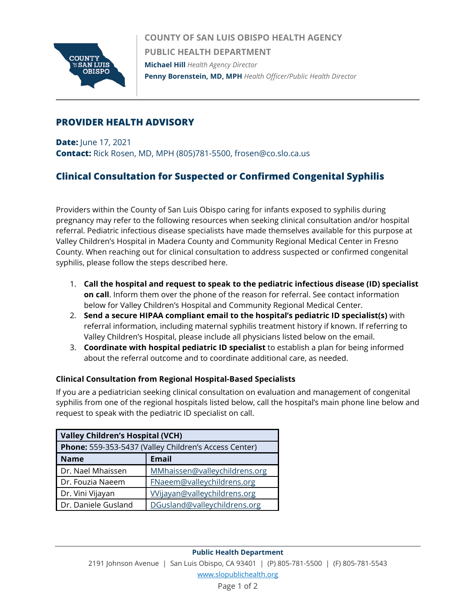

**COUNTY OF SAN LUIS OBISPO HEALTH AGENCY PUBLIC HEALTH DEPARTMENT Michael Hill** *Health Agency Director* **Penny Borenstein, MD, MPH** *Health Officer/Public Health Director*

### **PROVIDER HEALTH ADVISORY**

**Date:** June 17, 2021 **Contact:** Rick Rosen, MD, MPH (805)781-5500, frosen@co.slo.ca.us

# **Clinical Consultation for Suspected or Confirmed Congenital Syphilis**

Providers within the County of San Luis Obispo caring for infants exposed to syphilis during pregnancy may refer to the following resources when seeking clinical consultation and/or hospital referral. Pediatric infectious disease specialists have made themselves available for this purpose at Valley Children's Hospital in Madera County and Community Regional Medical Center in Fresno County. When reaching out for clinical consultation to address suspected or confirmed congenital syphilis, please follow the steps described here.

- 1. **Call the hospital and request to speak to the pediatric infectious disease (ID) specialist on call**. Inform them over the phone of the reason for referral. See contact information below for Valley Children's Hospital and Community Regional Medical Center.
- 2. **Send a secure HIPAA compliant email to the hospital's pediatric ID specialist(s)** with referral information, including maternal syphilis treatment history if known. If referring to Valley Children's Hospital, please include all physicians listed below on the email.
- 3. **Coordinate with hospital pediatric ID specialist** to establish a plan for being informed about the referral outcome and to coordinate additional care, as needed.

#### **Clinical Consultation from Regional Hospital-Based Specialists**

If you are a pediatrician seeking clinical consultation on evaluation and management of congenital syphilis from one of the regional hospitals listed below, call the hospital's main phone line below and request to speak with the pediatric ID specialist on call.

| <b>Valley Children's Hospital (VCH)</b>               |                               |
|-------------------------------------------------------|-------------------------------|
| Phone: 559-353-5437 (Valley Children's Access Center) |                               |
| <b>Name</b>                                           | Email                         |
| Dr. Nael Mhaissen                                     | MMhaissen@valleychildrens.org |
| Dr. Fouzia Naeem                                      | FNaeem@valleychildrens.org    |
| Dr. Vini Vijayan                                      | Wijayan@valleychildrens.org   |
| Dr. Daniele Gusland                                   | DGusland@valleychildrens.org  |